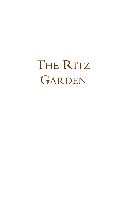THE RITZ GARDEN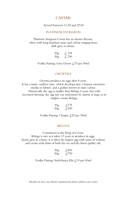## CAVIAR

#### Served between 11:30 and 22:00

#### PLATINUM STURGEON

Platinum Sturgeon Caviar has an intense flavour, often with long hazelnut notes and colour ranging from dark grey to ebony.

| 30 <sub>g</sub> | $\measuredangle$ 145 |
|-----------------|----------------------|
| 50 <sub>g</sub> | $\& 236$             |

Vodka Pairing: Grey Goose £15 per 50ml

#### OSCIETRA

Oscietra produces its eggs after 8 years. It has a nutty, mellow taste, which develops into a buttery sweetness similar to lobster, and a golden brown to slate colour. Historically the egg is smaller than Beluga Caviar, but with increased farming, the egg size can sometimes be almost as large as its mighty cousin Beluga.

| 30 <sub>g</sub> | $\angle$ 175                  |
|-----------------|-------------------------------|
| 50g             | $\textcolor{red}{\pounds}290$ |

Vodka Pairing: Chopin £22 per 50ml

#### BELUGA

Considered as the King of Caviar, Beluga is rare as it takes 12 years to produce its eggs. Steely grey in colour, it is often the largest egg with notes of walnuts and cream with hints of both the sea and the finest quality salt.

| 30 <sub>g</sub> | $\textcolor{blue}{\cancel{+}}302$  |
|-----------------|------------------------------------|
| 50 <sub>g</sub> | $\textcolor{red}{\mathcal{L}}$ 750 |

Vodka Pairing: Stolichnaya Elit £19 per 50ml

Should you have any dietary requirements please inform your waiter.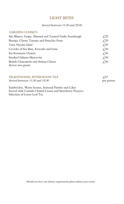# LIGHT BITES

## Served between 11:30 and 22:00

#### GARDEN CLASSICS

| Ajo Blanco, Grape, Almond and Toasted Garlic Sourdough | £22          |
|--------------------------------------------------------|--------------|
| Burrata, Cherry Tomato and Pistachio Pesto             | $\sqrt{29}$  |
| Tuna Niçoise Salad                                     | $\sqrt{29}$  |
| Ceviche of Sea Bass, Avocado and Lime                  | $\angle 30$  |
| Six Rossmore Oysters                                   | $\angle$ ,36 |
| Smoked Salmon Moscovite                                | $\angle 40$  |
| British Charcuterie and Artisan Cheese                 | 4.56         |
| Serves two guests                                      |              |

| TRADITIONAL AFTERNOON TEA      | $\sqrt{67}$ |
|--------------------------------|-------------|
| Served between 11:30 and 15:30 | per person  |
|                                |             |

Sandwiches, Warm Scones, Seasonal Pastries and Cakes Served with Cornish Clotted Cream and Strawberry Preserve Selection of Loose-Leaf Tea

Should you have any dietary requirements please inform your waiter.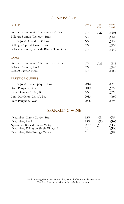# **CHAMPAGNE**

| <b>BRUT</b>                                 | Vintage   | Glass<br>150ml | Bottle<br>750ml                    |
|---------------------------------------------|-----------|----------------|------------------------------------|
| Barons de Rothschild 'Réserve Ritz', Brut   | NV        | £,22           | $\text{\textsterling}105$          |
| Billecart-Salmon 'Réserve', Brut            | NV        |                | $\text{\textsterling}.120$         |
| Perrier-Jouët 'Grand Brut', Brut            | NV        |                | $\textcolor{red}{\downarrow}$ ,130 |
| Bollinger 'Special Cuvée', Brut             | NV        |                | $\textcolor{red}{\downarrow}$ ,130 |
| Billecart-Salmon, Blanc de Blancs Grand Cru | NV        |                | $\angle 140$                       |
| <b>ROSÉ</b>                                 |           |                |                                    |
| Barons de Rothschild 'Réserve Ritz', Rosé   | NV        | $\sqrt{25}$    | $\text{\pounds}115$                |
| Billecart-Salmon, Rosé                      | NV        |                | $\text{\textsterling}.140$         |
| Laurent-Perrier, Rosé                       | <b>NV</b> |                | $\text{\textsterling}.150$         |
| PRESTIGE CUVÉES                             |           |                |                                    |
| Perrier-Jouët 'Belle Epoque', Brut          | 2012      |                | $\textcolor{blue}{\cancel{.}}340$  |
| Dom Perignon, Brut                          | 2012      |                | £,350                              |
| Krug 'Grande Cuvée', Brut                   | NV        |                | £,390                              |
| Louis Roederer 'Cristal', Brut              | 2013      |                | $\textsterling}490$                |
| Dom Perignon, Rosé                          | 2006      |                | $\sqrt{590}$                       |

# SPARKLING WINE

| Nyetimber 'Classic Cuvée', Brut       | MV   | 421         | 7.95         |
|---------------------------------------|------|-------------|--------------|
| Nyetimber, Rosé                       | MV   | $\sqrt{23}$ | $\angle 105$ |
| Nyetimber, Blanc de Blancs Vintage    | 2014 | 727         | $\angle 135$ |
| Nyetimber, Tillington Single Vineyard | 2014 |             | $\angle 190$ |
| Nyetimber, 1086 Prestige Cuvée        | 2010 |             | £280         |

Should a vintage be no longer available, we will offer a suitable alternative. The Ritz Restaurant wine list is available on request.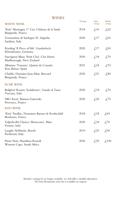|                                                                      | Vintage | Glass                             | Bottle                            |
|----------------------------------------------------------------------|---------|-----------------------------------|-----------------------------------|
| <b>WHITE WINE</b>                                                    |         | 150ml                             | 750ml                             |
| 'Ritz' Montagny 1er Cru, Château de la Saule<br>Burgundy, France     | 2018    | $\textsterling 16$                | $\angle 62$                       |
| Vermentino di Sardegna 'Is', Argiolas<br>Sardinia, Italy             | 2020    | $\text{\textsterling}17$          | $\sqrt{65}$                       |
| Riesling 'A Piece of Me', Gunderloch<br>Rheinhessen, Germany         | 2020    | $\text{\textsterling}17$          | $\sqrt{65}$                       |
| Sauvignon Blanc 'Petit Clos', Clos Henri<br>Marlborough, New Zealand | 2020    | $\text{\textsterling}18$          | $\textcolor{blue}{\mathcal{L}}70$ |
| Albarino 'Turonia', Quinta de Couselo<br>Rias Baixas, Spain          | 2021    | $\text{\textsterling}18$          | £70                               |
| Chablis, Domaine Jean-Marc Brocard<br>Burgundy, France               | 2020    | $\textcolor{red}{\downarrow}$ ,21 | £,80                              |
| <b>ROSÉ WINE</b>                                                     |         |                                   |                                   |
| Bolgheri Rosato 'Scalabrone', Guado al Tasso<br>Tuscany, Italy       | 2020    | $\text{\textsterling}18$          | $\mathcal{L}70$                   |
| 'MG' Rosé, Maison Gutowski<br>Provence, France                       | 2020    | $\textcolor{blue}{\cancel{.}}20$  | £,75                              |
| <b>RED WINE</b>                                                      |         |                                   |                                   |
| 'Ritz' Pauillac, Domaines Barons de Rothschild<br>Bordeaux, France   | 2018    | $\textcolor{red}{\lesssim} 18$    | £69                               |
| Valpolicella Classico 'Bonacosta', Masi<br>Veneto, Italy             | 2020    | $\text{\textsterling}18$          | £70                               |
| Langhe Nebbiolo, Boroli<br>Piedmont, Italy                           | 2019    | £23                               | £90                               |
| Pinot Noir, Hamilton Russell<br>Western Cape, South Africa           | 2020    | £25                               | $\text{\textsterling}.100$        |

Should a vintage be no longer available, we will offer a suitable alternative. The Ritz Restaurant wine list is available on request.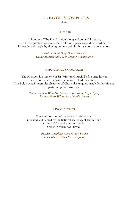## THE RIVOLI SHOWPIECES £25

#### RITZ 110

In honour of The Ritz London's long and colourful history, we invite guests to celebrate the wealth of experience and extraordinary history in lavish style by sipping on pure gold in this glamorous concoction.

> Gold infused Grey Goose Vodka, Grand Marnier and Peach Liquor, Champagne

### CHURCHILL'S COURAGE

The Ritz London was one of Sir Winston Churchill's favourite hotels; a location where he gained courage to lead the country. This bold cocktail resembles character of Churchill's unquestionable leadership and partnership with America.

> Butter Washed Woodford Reserve Bourbon, Maple Syrup Ramos Pinto White Port, Vanilla Bitters

#### RIVOLI VESPER

Our interpretation of the iconic British classic; invented and named by the fictional secret agent James Bond in the 1953 novel, Casino Royale. Served 'Shaken not Stirred'.

> Bombay Sapphire, Grey Goose Vodka Lillet Blanc, China Elixir Liqueur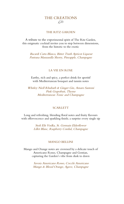## THE CREATIONS £23

#### THE RITZ GARDEN

A tribute to the experimental spirit of The Ritz Garden, this enigmatic cocktail invites you to step between dimensions, from the historic to the exotic

Bacardi Carta Blanca, Bitter Truth Apricot Liqueur Pastrana Manzanilla Sherry, Pineapple, Champagne

#### LA VIE EN ROSE

Earthy, rich and spicy, a perfect drink for aperitif with Mediterranean bouquet and tannin notes

Whitley Niell Rhubarb & Ginger Gin, Amaro Santoni Pink Grapefruit, Thyme Mediterranean Tonic and Champagne

### **SCARLETT**

Long and refreshing, blending floral notes and fruity flavours with effervescence and sparkling finish; a surprise every single sip

> Stoli Elit Vodka, St. Germain Elderflower Lillet Blanc, Raspberry Cordial, Champagne

#### MANGO BELLINI

Mango and Orange notes are crowned by a delicate touch of Americano Rosso, Champagne and Gentian, capturing the Garden's vibe from dusk to dawn

> Savoia Americano Rosso, Cocchi Americano Mango & Blood Orange, Agave, Champagne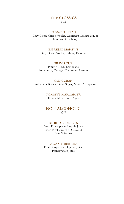# THE CLASSICS  $£.23$

#### COSMOPOLITAN

Grey Goose Citron Vodka, Cointreau Orange Liquor Lime and Cranberry

#### ESPRESSO MARTINI

Grey Goose Vodka, Kahlua, Espresso

#### PIMM'S CUP

Pimm's No.1, Lemonade Strawberry, Orange, Cucumber, Lemon

OLD CUBAN Bacardi Carta Blanca, Lime, Sugar, Mint, Champagne

> TOMMY'S MARGARITA Olmeca Altos, Lime, Agave

NON-ALCOHOLIC £17

#### BEHIND BLUE EYES

Fresh Pineapple and Apple Juice Coco Real Cream of Coconut Blue Spirulina

#### SMOOTH BERRIES

Fresh Raspberries, Lychee Juice Pomegranate Juice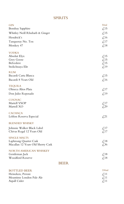# SPIRITS

| <b>GIN</b>                        |             | 50 <sub>ml</sub>                                                   |
|-----------------------------------|-------------|--------------------------------------------------------------------|
| <b>Bombay Sapphire</b>            |             | $\textcolor{red}{\mathcal{L}}$ 15                                  |
| Whitley Neill Rhubarb & Ginger    |             | $\textcolor{red}{\mathcal{L}}$ 15                                  |
| Hendrick's                        |             | $\textcolor{red}{\mathcal{L}}$ 16                                  |
| Tanqueray No. Ten                 |             | $\text{\textsterling}17$                                           |
| Monkey 47                         |             | $\textcolor{red}{\lesssim} 18$                                     |
| <b>VODKA</b>                      |             |                                                                    |
| Absolut Elyx                      |             | $\textsterling$ 15                                                 |
| Grey Goose                        |             | $\mathcal{L}$ 15                                                   |
| Belvedere                         |             | $\textcolor{red}{\mathcal{L}}$ 15                                  |
| Stolichnaya Elit                  |             | $\mathcal{L}^{19}$                                                 |
| <b>RUM</b>                        |             |                                                                    |
| Bacardi Carta Blanca              |             | $\measuredangle$ 15                                                |
| Bacardi 8 Years Old               |             | $\text{\textsterling}16$                                           |
| <b>TEQUILA</b>                    |             |                                                                    |
| Olmeca Altos Plata                |             | $\textcolor{red}{\mathcal{L}}$ 17                                  |
| Don Julio Reposado                |             | $\mathcal{L}^{19}$                                                 |
| <b>COGNAC</b>                     |             |                                                                    |
| Martell VSOP                      |             | $\textcolor{red}{\mathcal{L}}$ 17                                  |
| Martell XO                        |             | £29                                                                |
| <b>CACHAÇA</b>                    |             |                                                                    |
| Leblon Reserva Especial           |             | $\&21$                                                             |
| <b>BLENDED WHISKY</b>             |             |                                                                    |
| Johnnie Walker Black Label        |             |                                                                    |
| Chivas Regal 12 Years Old         |             | $\textcolor{red}{\lesssim}17$<br>$\textcolor{red}{\mathcal{L}}$ 17 |
|                                   |             |                                                                    |
| <b>SINGLE MALTS</b>               |             |                                                                    |
| Laphroaig Quarter Cask            |             | $\textcolor{red}{\lesssim} 18$                                     |
| Macallan 12 Years Old Sherry Cask |             | £36                                                                |
| NORTH AMERICAN WHISKEY            |             |                                                                    |
| Gentleman Jack                    |             | $\text{\textsterling}18$                                           |
| Woodford Reserve                  |             | $\text{\textsterling}18$                                           |
|                                   | <b>BEER</b> |                                                                    |
|                                   |             |                                                                    |

| 330 <sub>ml</sub> |
|-------------------|
| $\angle 11$       |
| $\angle 11$       |
| $\angle 11$       |
|                   |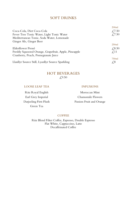# SOFT DRINKS

|                                                       | 200 <sub>ml</sub> |
|-------------------------------------------------------|-------------------|
| Coca-Cola, Diet Coca-Cola                             | £7.50             |
| Fever Tree Tonic Water, Light Tonic Water             | £,7.50            |
| Mediterranean Tonic, Soda Water, Lemonade             |                   |
| Ginger Ale, Ginger Beer                               |                   |
|                                                       | 250ml             |
| Elderflower Pressé                                    | $\angle 8.50$     |
| Freshly Squeezed Orange, Grapefruit, Apple, Pineapple | $\angle$ 11       |
| Cranberry, Peach, Pomegranate Juice                   |                   |
|                                                       | 750ml             |
| Llanllyr Source Still, Lyanllyr Source Sparkling      | ₹,8               |

## HOT BEVERAGES £,9.50

#### LOOSE LEAF TEA INFUSIONS

Ritz Royal English Moroccan Mint Green Tea

Earl Grey Imperial Chamomile Flowers Darjeeling First Flush Passion Fruit and Orange

#### **COFFEE**

Ritz Blend Filter Coffee, Espresso, Double Espresso Flat White, Cappuccino, Latte Decaffeinated Coffee